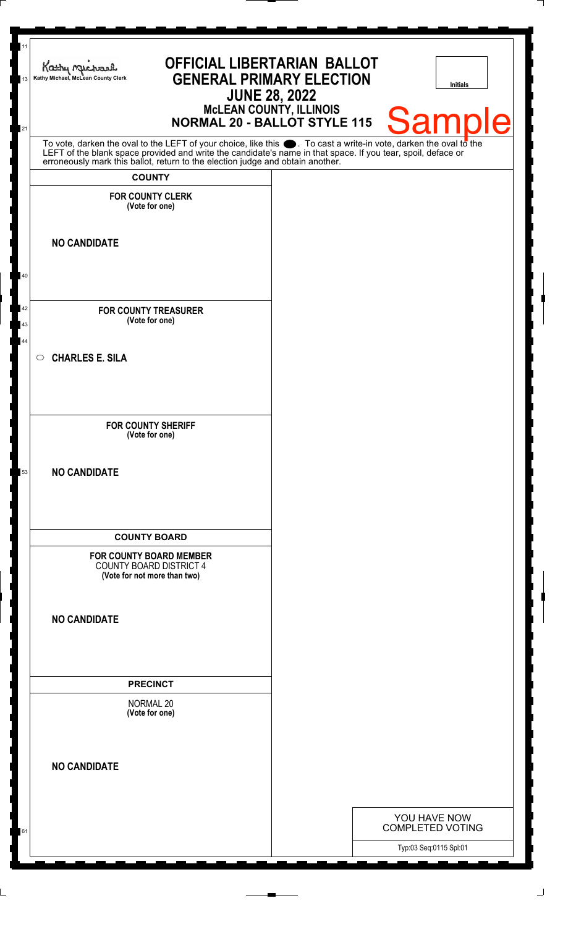| 11<br><b>OFFICIAL LIBERTARIAN BALLOT</b><br>Kathy Michael<br><b>GENERAL PRIMARY ELECTION</b><br>Kathy Michael, McLean County Clerk<br>13                                                                                                                                                                               | <b>JUNE 28, 2022</b> | Initials                                |
|------------------------------------------------------------------------------------------------------------------------------------------------------------------------------------------------------------------------------------------------------------------------------------------------------------------------|----------------------|-----------------------------------------|
| McLEAN COUNTY, ILLINOIS<br>NORMAL 20 - BALLOT STYLE 115<br>21                                                                                                                                                                                                                                                          |                      | <b>Sample</b>                           |
| To vote, darken the oval to the LEFT of your choice, like this $\bullet$ . To cast a write-in vote, darken the oval to the LEFT of the blank space provided and write the candidate's name in that space. If you tear, spoil, deface<br>erroneously mark this ballot, return to the election judge and obtain another. |                      |                                         |
| <b>COUNTY</b>                                                                                                                                                                                                                                                                                                          |                      |                                         |
| <b>FOR COUNTY CLERK</b><br>(Vote for one)                                                                                                                                                                                                                                                                              |                      |                                         |
| <b>NO CANDIDATE</b>                                                                                                                                                                                                                                                                                                    |                      |                                         |
| 40                                                                                                                                                                                                                                                                                                                     |                      |                                         |
| 42<br><b>FOR COUNTY TREASURER</b><br>(Vote for one)<br>43                                                                                                                                                                                                                                                              |                      |                                         |
| 44<br><b>CHARLES E. SILA</b><br>$\circ$                                                                                                                                                                                                                                                                                |                      |                                         |
| <b>FOR COUNTY SHERIFF</b><br>(Vote for one)                                                                                                                                                                                                                                                                            |                      |                                         |
| <b>NO CANDIDATE</b><br>53                                                                                                                                                                                                                                                                                              |                      |                                         |
| <b>COUNTY BOARD</b>                                                                                                                                                                                                                                                                                                    |                      |                                         |
| <b>FOR COUNTY BOARD MEMBER</b><br><b>COUNTY BOARD DISTRICT 4</b><br>(Vote for not more than two)                                                                                                                                                                                                                       |                      |                                         |
| <b>NO CANDIDATE</b>                                                                                                                                                                                                                                                                                                    |                      |                                         |
| <b>PRECINCT</b>                                                                                                                                                                                                                                                                                                        |                      |                                         |
| NORMAL 20<br>(Vote for one)                                                                                                                                                                                                                                                                                            |                      |                                         |
| <b>NO CANDIDATE</b>                                                                                                                                                                                                                                                                                                    |                      |                                         |
|                                                                                                                                                                                                                                                                                                                        |                      |                                         |
| 61                                                                                                                                                                                                                                                                                                                     |                      | YOU HAVE NOW<br><b>COMPLETED VOTING</b> |
|                                                                                                                                                                                                                                                                                                                        |                      | Typ:03 Seq:0115 Spl:01                  |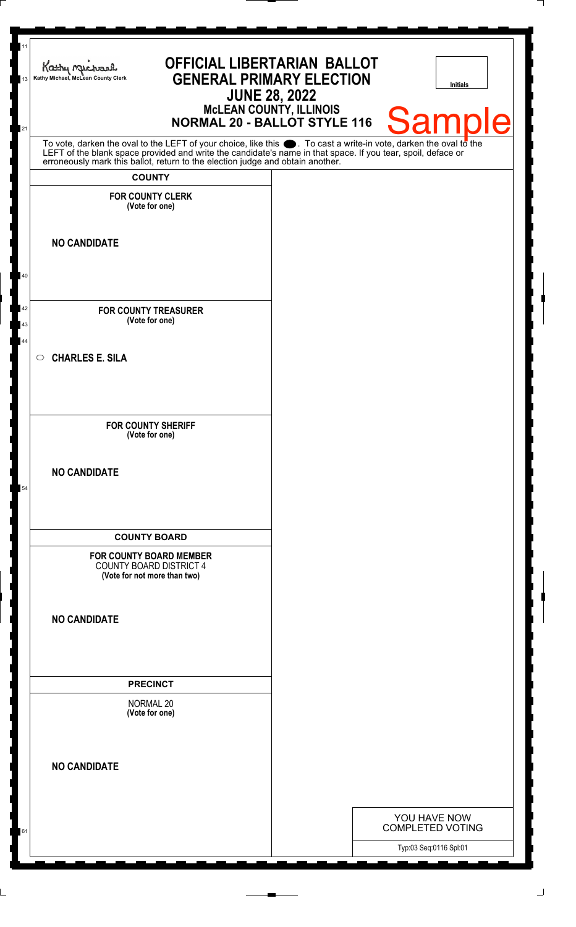| 11<br>13 | <b>OFFICIAL LIBERTARIAN BALLOT</b><br>Kathy Michael<br><b>GENERAL PRIMARY ELECTION</b><br>Kathy Michael, McLean County Clerk<br><b>JUNE 28, 2022</b>                                                                                 | <b>Initials</b>                                   |
|----------|--------------------------------------------------------------------------------------------------------------------------------------------------------------------------------------------------------------------------------------|---------------------------------------------------|
| 21       | McLEAN COUNTY, ILLINOIS<br>NORMAL 20 - BALLOT STYLE 116                                                                                                                                                                              | Sample                                            |
|          | To vote, darken the oval to the LEFT of your choice, like this $\bullet$ . To cast a write-in vote, darken the oval to the LEFT of the blank space provided and write the candidate's name in that space. If you tear, spoil, deface |                                                   |
|          | erroneously mark this ballot, return to the election judge and obtain another.<br><b>COUNTY</b>                                                                                                                                      |                                                   |
|          | <b>FOR COUNTY CLERK</b><br>(Vote for one)                                                                                                                                                                                            |                                                   |
|          | <b>NO CANDIDATE</b>                                                                                                                                                                                                                  |                                                   |
| 40       |                                                                                                                                                                                                                                      |                                                   |
| 42<br>43 | <b>FOR COUNTY TREASURER</b><br>(Vote for one)                                                                                                                                                                                        |                                                   |
| 44       | <b>CHARLES E. SILA</b><br>$\circ$                                                                                                                                                                                                    |                                                   |
|          | <b>FOR COUNTY SHERIFF</b><br>(Vote for one)                                                                                                                                                                                          |                                                   |
| 54       | <b>NO CANDIDATE</b>                                                                                                                                                                                                                  |                                                   |
|          |                                                                                                                                                                                                                                      |                                                   |
|          | <b>COUNTY BOARD</b><br><b>FOR COUNTY BOARD MEMBER</b><br><b>COUNTY BOARD DISTRICT 4</b><br>(Vote for not more than two)                                                                                                              |                                                   |
|          | <b>NO CANDIDATE</b>                                                                                                                                                                                                                  |                                                   |
|          | <b>PRECINCT</b>                                                                                                                                                                                                                      |                                                   |
|          | <b>NORMAL 20</b><br>(Vote for one)                                                                                                                                                                                                   |                                                   |
|          | <b>NO CANDIDATE</b>                                                                                                                                                                                                                  |                                                   |
|          |                                                                                                                                                                                                                                      | YOU HAVE NOW                                      |
| 61       |                                                                                                                                                                                                                                      | <b>COMPLETED VOTING</b><br>Typ:03 Seq:0116 Spl:01 |
|          |                                                                                                                                                                                                                                      |                                                   |

 $\overline{\phantom{a}}$ 

┪

 $\mathbf{I}$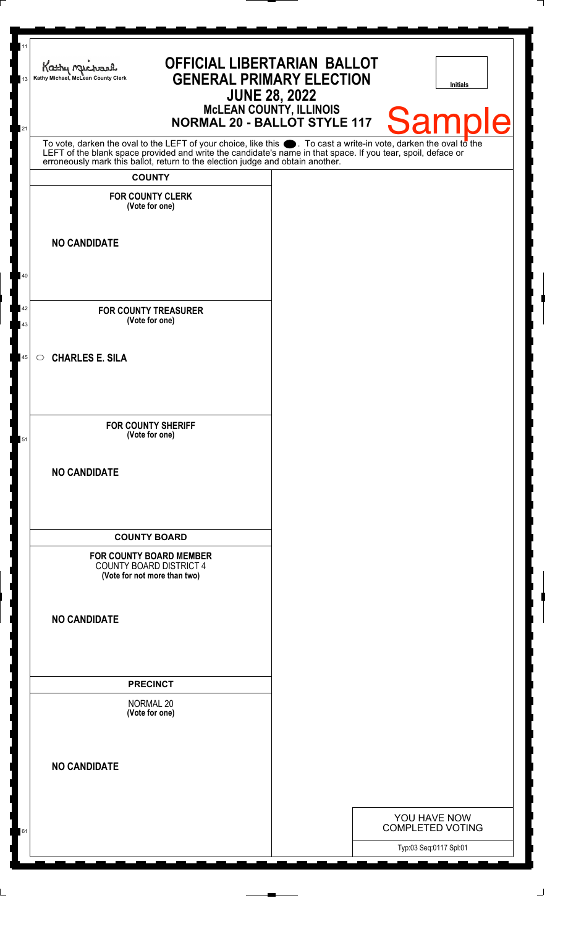| 13 | <b>OFFICIAL LIBERTARIAN BALLOT</b><br>Kathy Michael<br><b>GENERAL PRIMARY ELECTION</b><br>Kathy Michael, McLean County Clerk                                                                                                  | <b>JUNE 28, 2022</b>           | <b>Initials</b>         |
|----|-------------------------------------------------------------------------------------------------------------------------------------------------------------------------------------------------------------------------------|--------------------------------|-------------------------|
| 21 | <b>NORMAL 20 - BALLOT STYLE 117</b>                                                                                                                                                                                           | <b>MCLEAN COUNTY, ILLINOIS</b> | <b>Sample</b>           |
|    | To vote, darken the oval to the LEFT of your choice, like this . To cast a write-in vote, darken the oval to the LEFT of the blank space provided and write the candidate's name in that space. If you tear, spoil, deface or |                                |                         |
|    | <b>COUNTY</b>                                                                                                                                                                                                                 |                                |                         |
|    | <b>FOR COUNTY CLERK</b><br>(Vote for one)                                                                                                                                                                                     |                                |                         |
|    |                                                                                                                                                                                                                               |                                |                         |
|    | <b>NO CANDIDATE</b>                                                                                                                                                                                                           |                                |                         |
|    |                                                                                                                                                                                                                               |                                |                         |
| 40 |                                                                                                                                                                                                                               |                                |                         |
| 42 | <b>FOR COUNTY TREASURER</b>                                                                                                                                                                                                   |                                |                         |
| 43 | (Vote for one)                                                                                                                                                                                                                |                                |                         |
| 45 | <b>CHARLES E. SILA</b><br>$\circ$                                                                                                                                                                                             |                                |                         |
|    |                                                                                                                                                                                                                               |                                |                         |
|    |                                                                                                                                                                                                                               |                                |                         |
|    | <b>FOR COUNTY SHERIFF</b>                                                                                                                                                                                                     |                                |                         |
| 51 | (Vote for one)                                                                                                                                                                                                                |                                |                         |
|    | <b>NO CANDIDATE</b>                                                                                                                                                                                                           |                                |                         |
|    |                                                                                                                                                                                                                               |                                |                         |
|    |                                                                                                                                                                                                                               |                                |                         |
|    | <b>COUNTY BOARD</b>                                                                                                                                                                                                           |                                |                         |
|    | <b>FOR COUNTY BOARD MEMBER</b><br><b>COUNTY BOARD DISTRICT 4</b><br>(Vote for not more than two)                                                                                                                              |                                |                         |
|    |                                                                                                                                                                                                                               |                                |                         |
|    | <b>NO CANDIDATE</b>                                                                                                                                                                                                           |                                |                         |
|    |                                                                                                                                                                                                                               |                                |                         |
|    | <b>PRECINCT</b>                                                                                                                                                                                                               |                                |                         |
|    | <b>NORMAL 20</b>                                                                                                                                                                                                              |                                |                         |
|    | (Vote for one)                                                                                                                                                                                                                |                                |                         |
|    |                                                                                                                                                                                                                               |                                |                         |
|    | <b>NO CANDIDATE</b>                                                                                                                                                                                                           |                                |                         |
|    |                                                                                                                                                                                                                               |                                |                         |
|    |                                                                                                                                                                                                                               |                                | YOU HAVE NOW            |
| 61 |                                                                                                                                                                                                                               |                                | <b>COMPLETED VOTING</b> |
|    |                                                                                                                                                                                                                               |                                | Typ:03 Seq:0117 Spl:01  |

 $\overline{\phantom{a}}$ 

┟